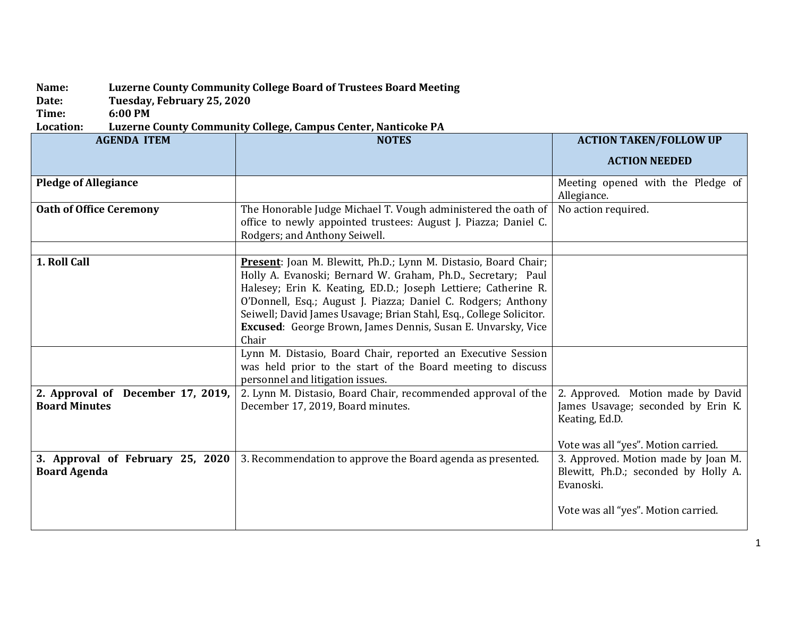## **Name: Luzerne County Community College Board of Trustees Board Meeting**

**Date: Tuesday, February 25, 2020**

**Time: 6:00 PM**

**Location: Luzerne County Community College, Campus Center, Nanticoke PA**

| <b>AGENDA ITEM</b>                                        | <b>NOTES</b>                                                                                                                                                                                                                                                                                                                                                                                                                                                                                                                                      | <b>ACTION TAKEN/FOLLOW UP</b>                                                            |
|-----------------------------------------------------------|---------------------------------------------------------------------------------------------------------------------------------------------------------------------------------------------------------------------------------------------------------------------------------------------------------------------------------------------------------------------------------------------------------------------------------------------------------------------------------------------------------------------------------------------------|------------------------------------------------------------------------------------------|
|                                                           |                                                                                                                                                                                                                                                                                                                                                                                                                                                                                                                                                   | <b>ACTION NEEDED</b>                                                                     |
| <b>Pledge of Allegiance</b>                               |                                                                                                                                                                                                                                                                                                                                                                                                                                                                                                                                                   | Meeting opened with the Pledge of<br>Allegiance.                                         |
| <b>Oath of Office Ceremony</b>                            | The Honorable Judge Michael T. Vough administered the oath of<br>office to newly appointed trustees: August J. Piazza; Daniel C.<br>Rodgers; and Anthony Seiwell.                                                                                                                                                                                                                                                                                                                                                                                 | No action required.                                                                      |
| 1. Roll Call                                              | Present: Joan M. Blewitt, Ph.D.; Lynn M. Distasio, Board Chair;<br>Holly A. Evanoski; Bernard W. Graham, Ph.D., Secretary; Paul<br>Halesey; Erin K. Keating, ED.D.; Joseph Lettiere; Catherine R.<br>O'Donnell, Esq.; August J. Piazza; Daniel C. Rodgers; Anthony<br>Seiwell; David James Usavage; Brian Stahl, Esq., College Solicitor.<br>Excused: George Brown, James Dennis, Susan E. Unvarsky, Vice<br>Chair<br>Lynn M. Distasio, Board Chair, reported an Executive Session<br>was held prior to the start of the Board meeting to discuss |                                                                                          |
| 2. Approval of December 17, 2019,<br><b>Board Minutes</b> | personnel and litigation issues.<br>2. Lynn M. Distasio, Board Chair, recommended approval of the<br>December 17, 2019, Board minutes.                                                                                                                                                                                                                                                                                                                                                                                                            | 2. Approved. Motion made by David<br>James Usavage; seconded by Erin K.                  |
|                                                           |                                                                                                                                                                                                                                                                                                                                                                                                                                                                                                                                                   | Keating, Ed.D.<br>Vote was all "yes". Motion carried.                                    |
| 3. Approval of February 25, 2020<br><b>Board Agenda</b>   | 3. Recommendation to approve the Board agenda as presented.                                                                                                                                                                                                                                                                                                                                                                                                                                                                                       | 3. Approved. Motion made by Joan M.<br>Blewitt, Ph.D.; seconded by Holly A.<br>Evanoski. |
|                                                           |                                                                                                                                                                                                                                                                                                                                                                                                                                                                                                                                                   | Vote was all "yes". Motion carried.                                                      |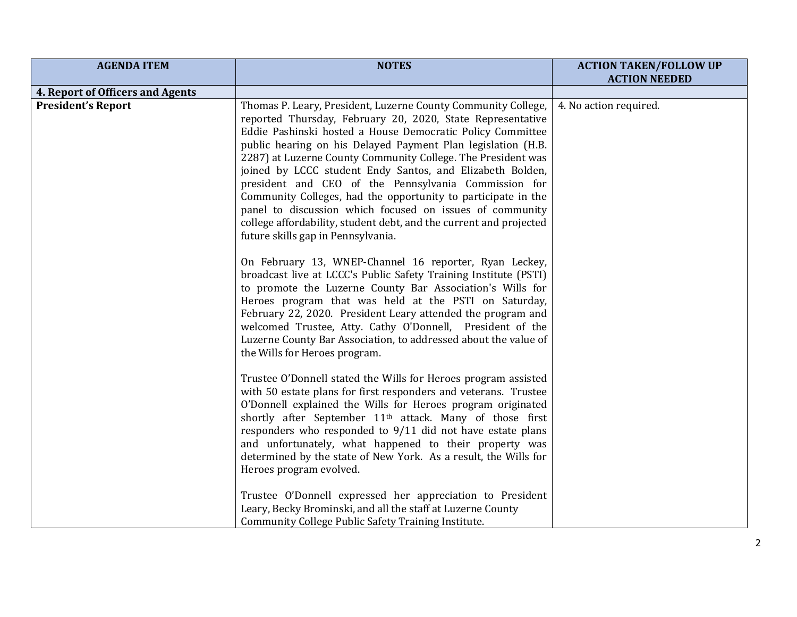| <b>AGENDA ITEM</b>                                            | <b>NOTES</b>                                                                                                                                                                                                                                                                                                                                                                                                                                                                                                                                                                                                                                                                            | <b>ACTION TAKEN/FOLLOW UP</b> |
|---------------------------------------------------------------|-----------------------------------------------------------------------------------------------------------------------------------------------------------------------------------------------------------------------------------------------------------------------------------------------------------------------------------------------------------------------------------------------------------------------------------------------------------------------------------------------------------------------------------------------------------------------------------------------------------------------------------------------------------------------------------------|-------------------------------|
|                                                               |                                                                                                                                                                                                                                                                                                                                                                                                                                                                                                                                                                                                                                                                                         | <b>ACTION NEEDED</b>          |
| 4. Report of Officers and Agents<br><b>President's Report</b> | Thomas P. Leary, President, Luzerne County Community College,<br>reported Thursday, February 20, 2020, State Representative<br>Eddie Pashinski hosted a House Democratic Policy Committee<br>public hearing on his Delayed Payment Plan legislation (H.B.<br>2287) at Luzerne County Community College. The President was<br>joined by LCCC student Endy Santos, and Elizabeth Bolden,<br>president and CEO of the Pennsylvania Commission for<br>Community Colleges, had the opportunity to participate in the<br>panel to discussion which focused on issues of community<br>college affordability, student debt, and the current and projected<br>future skills gap in Pennsylvania. | 4. No action required.        |
|                                                               | On February 13, WNEP-Channel 16 reporter, Ryan Leckey,<br>broadcast live at LCCC's Public Safety Training Institute (PSTI)<br>to promote the Luzerne County Bar Association's Wills for<br>Heroes program that was held at the PSTI on Saturday,<br>February 22, 2020. President Leary attended the program and<br>welcomed Trustee, Atty. Cathy O'Donnell, President of the<br>Luzerne County Bar Association, to addressed about the value of<br>the Wills for Heroes program.                                                                                                                                                                                                        |                               |
|                                                               | Trustee O'Donnell stated the Wills for Heroes program assisted<br>with 50 estate plans for first responders and veterans. Trustee<br>O'Donnell explained the Wills for Heroes program originated<br>shortly after September 11 <sup>th</sup> attack. Many of those first<br>responders who responded to 9/11 did not have estate plans<br>and unfortunately, what happened to their property was<br>determined by the state of New York. As a result, the Wills for<br>Heroes program evolved.                                                                                                                                                                                          |                               |
|                                                               | Trustee O'Donnell expressed her appreciation to President<br>Leary, Becky Brominski, and all the staff at Luzerne County<br>Community College Public Safety Training Institute.                                                                                                                                                                                                                                                                                                                                                                                                                                                                                                         |                               |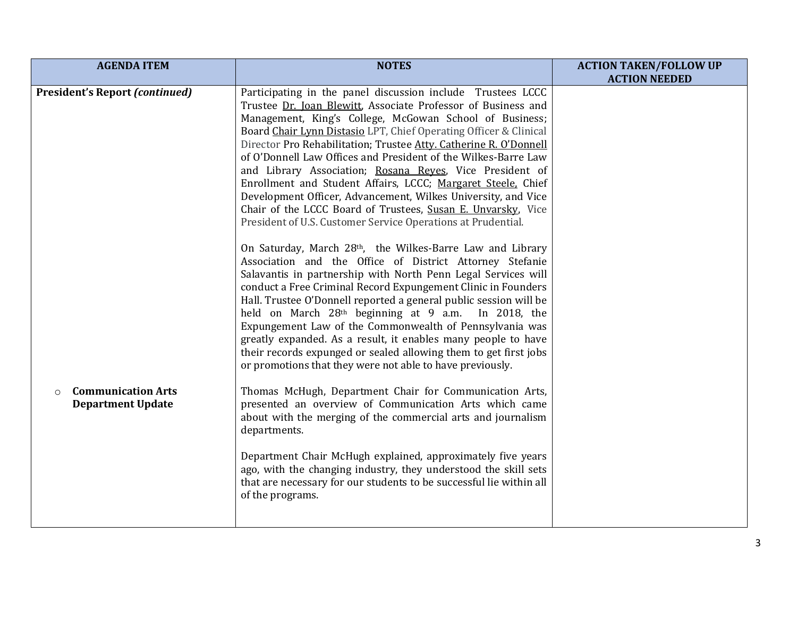| <b>AGENDA ITEM</b>                    | <b>NOTES</b>                                                        | <b>ACTION TAKEN/FOLLOW UP</b> |
|---------------------------------------|---------------------------------------------------------------------|-------------------------------|
|                                       |                                                                     | <b>ACTION NEEDED</b>          |
| <b>President's Report (continued)</b> | Participating in the panel discussion include Trustees LCCC         |                               |
|                                       | Trustee Dr. Joan Blewitt, Associate Professor of Business and       |                               |
|                                       | Management, King's College, McGowan School of Business;             |                               |
|                                       | Board Chair Lynn Distasio LPT, Chief Operating Officer & Clinical   |                               |
|                                       | Director Pro Rehabilitation; Trustee Atty. Catherine R. O'Donnell   |                               |
|                                       | of O'Donnell Law Offices and President of the Wilkes-Barre Law      |                               |
|                                       | and Library Association; Rosana Reyes, Vice President of            |                               |
|                                       | Enrollment and Student Affairs, LCCC; Margaret Steele, Chief        |                               |
|                                       | Development Officer, Advancement, Wilkes University, and Vice       |                               |
|                                       | Chair of the LCCC Board of Trustees, Susan E. Unvarsky, Vice        |                               |
|                                       | President of U.S. Customer Service Operations at Prudential.        |                               |
|                                       | On Saturday, March 28th, the Wilkes-Barre Law and Library           |                               |
|                                       | Association and the Office of District Attorney Stefanie            |                               |
|                                       | Salavantis in partnership with North Penn Legal Services will       |                               |
|                                       | conduct a Free Criminal Record Expungement Clinic in Founders       |                               |
|                                       | Hall. Trustee O'Donnell reported a general public session will be   |                               |
|                                       | held on March 28 <sup>th</sup> beginning at 9 a.m. In 2018, the     |                               |
|                                       | Expungement Law of the Commonwealth of Pennsylvania was             |                               |
|                                       | greatly expanded. As a result, it enables many people to have       |                               |
|                                       | their records expunged or sealed allowing them to get first jobs    |                               |
|                                       | or promotions that they were not able to have previously.           |                               |
| <b>Communication Arts</b><br>$\circ$  | Thomas McHugh, Department Chair for Communication Arts,             |                               |
| <b>Department Update</b>              | presented an overview of Communication Arts which came              |                               |
|                                       | about with the merging of the commercial arts and journalism        |                               |
|                                       | departments.                                                        |                               |
|                                       |                                                                     |                               |
|                                       | Department Chair McHugh explained, approximately five years         |                               |
|                                       | ago, with the changing industry, they understood the skill sets     |                               |
|                                       | that are necessary for our students to be successful lie within all |                               |
|                                       | of the programs.                                                    |                               |
|                                       |                                                                     |                               |
|                                       |                                                                     |                               |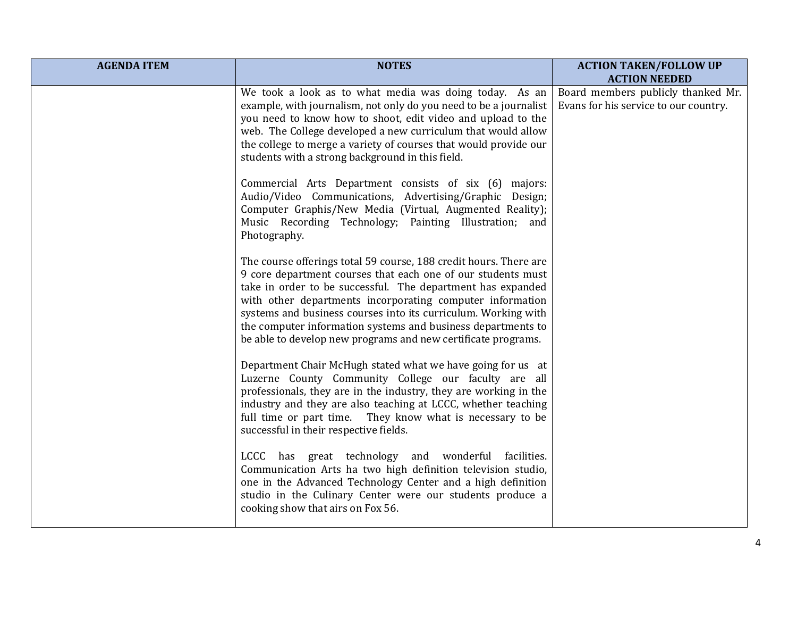| <b>AGENDA ITEM</b> | <b>NOTES</b>                                                                                                                                                                                                                                                                                                                                                                                                                                                     | <b>ACTION TAKEN/FOLLOW UP</b><br><b>ACTION NEEDED</b>                       |
|--------------------|------------------------------------------------------------------------------------------------------------------------------------------------------------------------------------------------------------------------------------------------------------------------------------------------------------------------------------------------------------------------------------------------------------------------------------------------------------------|-----------------------------------------------------------------------------|
|                    | We took a look as to what media was doing today. As an<br>example, with journalism, not only do you need to be a journalist<br>you need to know how to shoot, edit video and upload to the<br>web. The College developed a new curriculum that would allow<br>the college to merge a variety of courses that would provide our<br>students with a strong background in this field.                                                                               | Board members publicly thanked Mr.<br>Evans for his service to our country. |
|                    | Commercial Arts Department consists of six (6) majors:<br>Audio/Video Communications, Advertising/Graphic Design;<br>Computer Graphis/New Media (Virtual, Augmented Reality);<br>Music Recording Technology; Painting Illustration; and<br>Photography.                                                                                                                                                                                                          |                                                                             |
|                    | The course offerings total 59 course, 188 credit hours. There are<br>9 core department courses that each one of our students must<br>take in order to be successful. The department has expanded<br>with other departments incorporating computer information<br>systems and business courses into its curriculum. Working with<br>the computer information systems and business departments to<br>be able to develop new programs and new certificate programs. |                                                                             |
|                    | Department Chair McHugh stated what we have going for us at<br>Luzerne County Community College our faculty are all<br>professionals, they are in the industry, they are working in the<br>industry and they are also teaching at LCCC, whether teaching<br>full time or part time. They know what is necessary to be<br>successful in their respective fields.                                                                                                  |                                                                             |
|                    | LCCC has great technology and wonderful facilities.<br>Communication Arts ha two high definition television studio,<br>one in the Advanced Technology Center and a high definition<br>studio in the Culinary Center were our students produce a<br>cooking show that airs on Fox 56.                                                                                                                                                                             |                                                                             |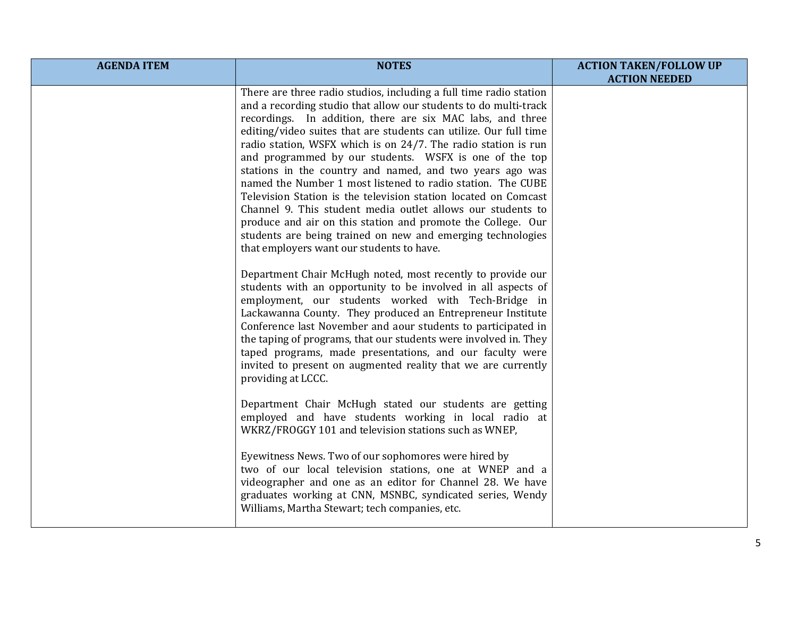| <b>AGENDA ITEM</b> | <b>NOTES</b>                                                                                                                                                                                                                                                                                                                                                                                                                                                                                                                                                                                                                                                                                                                                                                                                                                                                                                                                                                                                                                                                                        | <b>ACTION TAKEN/FOLLOW UP</b> |
|--------------------|-----------------------------------------------------------------------------------------------------------------------------------------------------------------------------------------------------------------------------------------------------------------------------------------------------------------------------------------------------------------------------------------------------------------------------------------------------------------------------------------------------------------------------------------------------------------------------------------------------------------------------------------------------------------------------------------------------------------------------------------------------------------------------------------------------------------------------------------------------------------------------------------------------------------------------------------------------------------------------------------------------------------------------------------------------------------------------------------------------|-------------------------------|
|                    | There are three radio studios, including a full time radio station<br>and a recording studio that allow our students to do multi-track<br>recordings. In addition, there are six MAC labs, and three<br>editing/video suites that are students can utilize. Our full time<br>radio station, WSFX which is on 24/7. The radio station is run<br>and programmed by our students. WSFX is one of the top<br>stations in the country and named, and two years ago was<br>named the Number 1 most listened to radio station. The CUBE<br>Television Station is the television station located on Comcast<br>Channel 9. This student media outlet allows our students to<br>produce and air on this station and promote the College. Our<br>students are being trained on new and emerging technologies<br>that employers want our students to have.<br>Department Chair McHugh noted, most recently to provide our<br>students with an opportunity to be involved in all aspects of<br>employment, our students worked with Tech-Bridge in<br>Lackawanna County. They produced an Entrepreneur Institute | <b>ACTION NEEDED</b>          |
|                    | Conference last November and aour students to participated in<br>the taping of programs, that our students were involved in. They<br>taped programs, made presentations, and our faculty were<br>invited to present on augmented reality that we are currently<br>providing at LCCC.<br>Department Chair McHugh stated our students are getting<br>employed and have students working in local radio at<br>WKRZ/FROGGY 101 and television stations such as WNEP,<br>Eyewitness News. Two of our sophomores were hired by<br>two of our local television stations, one at WNEP and a                                                                                                                                                                                                                                                                                                                                                                                                                                                                                                                 |                               |
|                    | videographer and one as an editor for Channel 28. We have<br>graduates working at CNN, MSNBC, syndicated series, Wendy<br>Williams, Martha Stewart; tech companies, etc.                                                                                                                                                                                                                                                                                                                                                                                                                                                                                                                                                                                                                                                                                                                                                                                                                                                                                                                            |                               |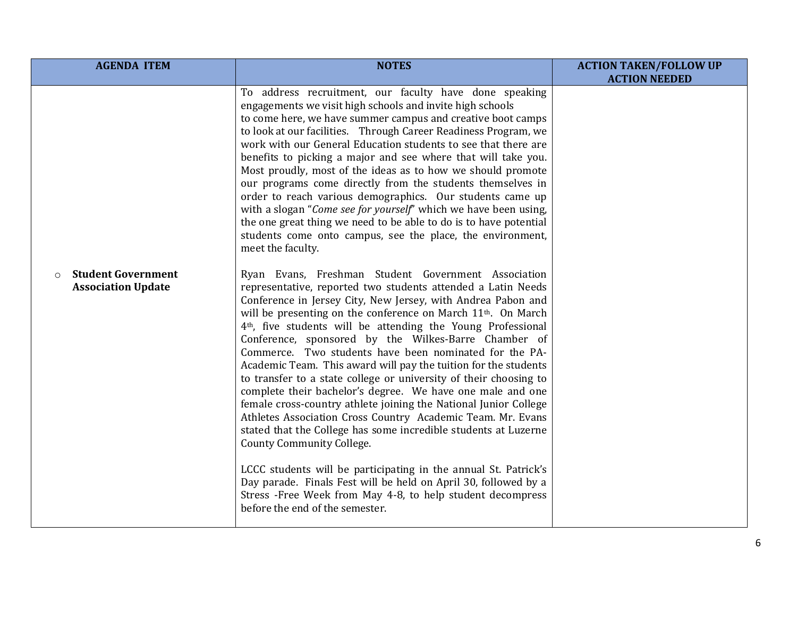| <b>AGENDA ITEM</b>                                                | <b>NOTES</b>                                                                                                                                                                                                                                                                                                                                                                                                                                                                                                                                                                                                                                                                                                                                                                                                                                                                                                                                                                                                                                                                                                                                          | <b>ACTION TAKEN/FOLLOW UP</b> |
|-------------------------------------------------------------------|-------------------------------------------------------------------------------------------------------------------------------------------------------------------------------------------------------------------------------------------------------------------------------------------------------------------------------------------------------------------------------------------------------------------------------------------------------------------------------------------------------------------------------------------------------------------------------------------------------------------------------------------------------------------------------------------------------------------------------------------------------------------------------------------------------------------------------------------------------------------------------------------------------------------------------------------------------------------------------------------------------------------------------------------------------------------------------------------------------------------------------------------------------|-------------------------------|
|                                                                   | To address recruitment, our faculty have done speaking<br>engagements we visit high schools and invite high schools<br>to come here, we have summer campus and creative boot camps<br>to look at our facilities. Through Career Readiness Program, we<br>work with our General Education students to see that there are<br>benefits to picking a major and see where that will take you.<br>Most proudly, most of the ideas as to how we should promote<br>our programs come directly from the students themselves in<br>order to reach various demographics. Our students came up<br>with a slogan "Come see for yourself" which we have been using,<br>the one great thing we need to be able to do is to have potential<br>students come onto campus, see the place, the environment,<br>meet the faculty.                                                                                                                                                                                                                                                                                                                                         | <b>ACTION NEEDED</b>          |
| <b>Student Government</b><br>$\circ$<br><b>Association Update</b> | Ryan Evans, Freshman Student Government Association<br>representative, reported two students attended a Latin Needs<br>Conference in Jersey City, New Jersey, with Andrea Pabon and<br>will be presenting on the conference on March 11 <sup>th</sup> . On March<br>4 <sup>th</sup> , five students will be attending the Young Professional<br>Conference, sponsored by the Wilkes-Barre Chamber of<br>Commerce. Two students have been nominated for the PA-<br>Academic Team. This award will pay the tuition for the students<br>to transfer to a state college or university of their choosing to<br>complete their bachelor's degree. We have one male and one<br>female cross-country athlete joining the National Junior College<br>Athletes Association Cross Country Academic Team. Mr. Evans<br>stated that the College has some incredible students at Luzerne<br><b>County Community College.</b><br>LCCC students will be participating in the annual St. Patrick's<br>Day parade. Finals Fest will be held on April 30, followed by a<br>Stress -Free Week from May 4-8, to help student decompress<br>before the end of the semester. |                               |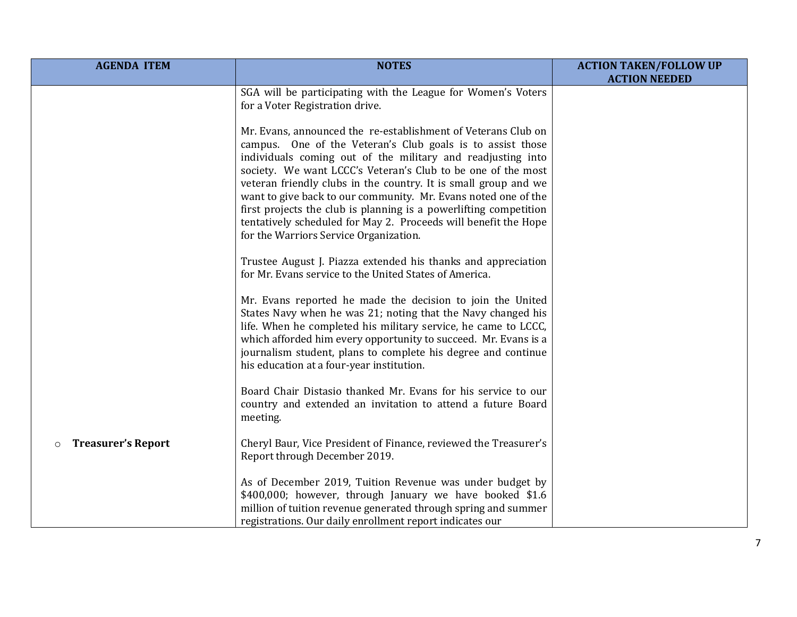| <b>AGENDA ITEM</b>                   | <b>NOTES</b>                                                                                                                                                                                                                                                                                                                                                                                                                                                                                                                                                                      | <b>ACTION TAKEN/FOLLOW UP</b> |
|--------------------------------------|-----------------------------------------------------------------------------------------------------------------------------------------------------------------------------------------------------------------------------------------------------------------------------------------------------------------------------------------------------------------------------------------------------------------------------------------------------------------------------------------------------------------------------------------------------------------------------------|-------------------------------|
|                                      | SGA will be participating with the League for Women's Voters<br>for a Voter Registration drive.                                                                                                                                                                                                                                                                                                                                                                                                                                                                                   | <b>ACTION NEEDED</b>          |
|                                      | Mr. Evans, announced the re-establishment of Veterans Club on<br>campus. One of the Veteran's Club goals is to assist those<br>individuals coming out of the military and readjusting into<br>society. We want LCCC's Veteran's Club to be one of the most<br>veteran friendly clubs in the country. It is small group and we<br>want to give back to our community. Mr. Evans noted one of the<br>first projects the club is planning is a powerlifting competition<br>tentatively scheduled for May 2. Proceeds will benefit the Hope<br>for the Warriors Service Organization. |                               |
|                                      | Trustee August J. Piazza extended his thanks and appreciation<br>for Mr. Evans service to the United States of America.                                                                                                                                                                                                                                                                                                                                                                                                                                                           |                               |
|                                      | Mr. Evans reported he made the decision to join the United<br>States Navy when he was 21; noting that the Navy changed his<br>life. When he completed his military service, he came to LCCC,<br>which afforded him every opportunity to succeed. Mr. Evans is a<br>journalism student, plans to complete his degree and continue<br>his education at a four-year institution.                                                                                                                                                                                                     |                               |
|                                      | Board Chair Distasio thanked Mr. Evans for his service to our<br>country and extended an invitation to attend a future Board<br>meeting.                                                                                                                                                                                                                                                                                                                                                                                                                                          |                               |
| <b>Treasurer's Report</b><br>$\circ$ | Cheryl Baur, Vice President of Finance, reviewed the Treasurer's<br>Report through December 2019.                                                                                                                                                                                                                                                                                                                                                                                                                                                                                 |                               |
|                                      | As of December 2019, Tuition Revenue was under budget by<br>\$400,000; however, through January we have booked \$1.6<br>million of tuition revenue generated through spring and summer<br>registrations. Our daily enrollment report indicates our                                                                                                                                                                                                                                                                                                                                |                               |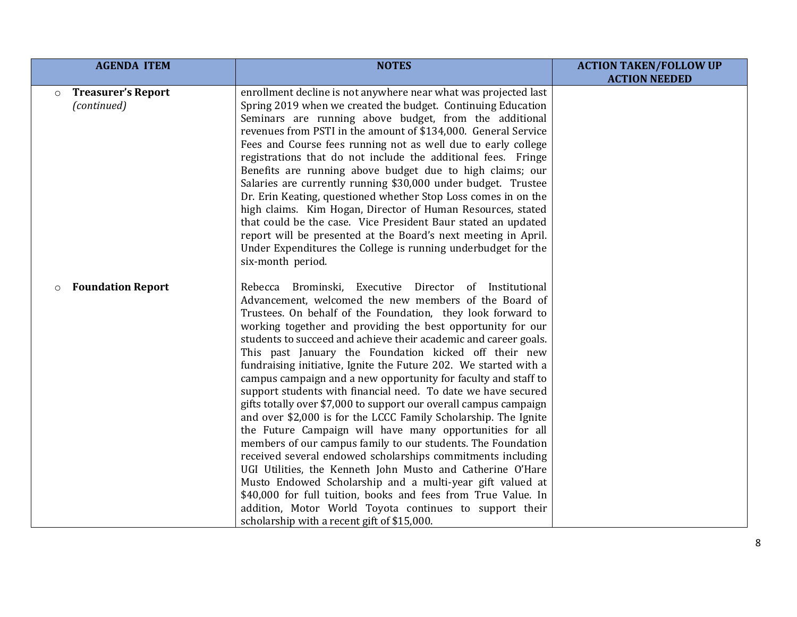| <b>AGENDA ITEM</b>                  | <b>NOTES</b>                                                                                                                                                                                                                                                                                                                                                                                                                                                                                                                                                                                                                                                                                                                                                                                                                                                                                                                                                                                                                                                                                                                                                                                                               | <b>ACTION TAKEN/FOLLOW UP</b> |
|-------------------------------------|----------------------------------------------------------------------------------------------------------------------------------------------------------------------------------------------------------------------------------------------------------------------------------------------------------------------------------------------------------------------------------------------------------------------------------------------------------------------------------------------------------------------------------------------------------------------------------------------------------------------------------------------------------------------------------------------------------------------------------------------------------------------------------------------------------------------------------------------------------------------------------------------------------------------------------------------------------------------------------------------------------------------------------------------------------------------------------------------------------------------------------------------------------------------------------------------------------------------------|-------------------------------|
| <b>Treasurer's Report</b>           | enrollment decline is not anywhere near what was projected last                                                                                                                                                                                                                                                                                                                                                                                                                                                                                                                                                                                                                                                                                                                                                                                                                                                                                                                                                                                                                                                                                                                                                            | <b>ACTION NEEDED</b>          |
| $\circ$<br>(continued)              | Spring 2019 when we created the budget. Continuing Education<br>Seminars are running above budget, from the additional<br>revenues from PSTI in the amount of \$134,000. General Service<br>Fees and Course fees running not as well due to early college<br>registrations that do not include the additional fees. Fringe<br>Benefits are running above budget due to high claims; our<br>Salaries are currently running \$30,000 under budget. Trustee<br>Dr. Erin Keating, questioned whether Stop Loss comes in on the<br>high claims. Kim Hogan, Director of Human Resources, stated<br>that could be the case. Vice President Baur stated an updated<br>report will be presented at the Board's next meeting in April.<br>Under Expenditures the College is running underbudget for the<br>six-month period.                                                                                                                                                                                                                                                                                                                                                                                                         |                               |
| <b>Foundation Report</b><br>$\circ$ | Rebecca Brominski, Executive Director of Institutional<br>Advancement, welcomed the new members of the Board of<br>Trustees. On behalf of the Foundation, they look forward to<br>working together and providing the best opportunity for our<br>students to succeed and achieve their academic and career goals.<br>This past January the Foundation kicked off their new<br>fundraising initiative, Ignite the Future 202. We started with a<br>campus campaign and a new opportunity for faculty and staff to<br>support students with financial need. To date we have secured<br>gifts totally over \$7,000 to support our overall campus campaign<br>and over \$2,000 is for the LCCC Family Scholarship. The Ignite<br>the Future Campaign will have many opportunities for all<br>members of our campus family to our students. The Foundation<br>received several endowed scholarships commitments including<br>UGI Utilities, the Kenneth John Musto and Catherine O'Hare<br>Musto Endowed Scholarship and a multi-year gift valued at<br>\$40,000 for full tuition, books and fees from True Value. In<br>addition, Motor World Toyota continues to support their<br>scholarship with a recent gift of \$15,000. |                               |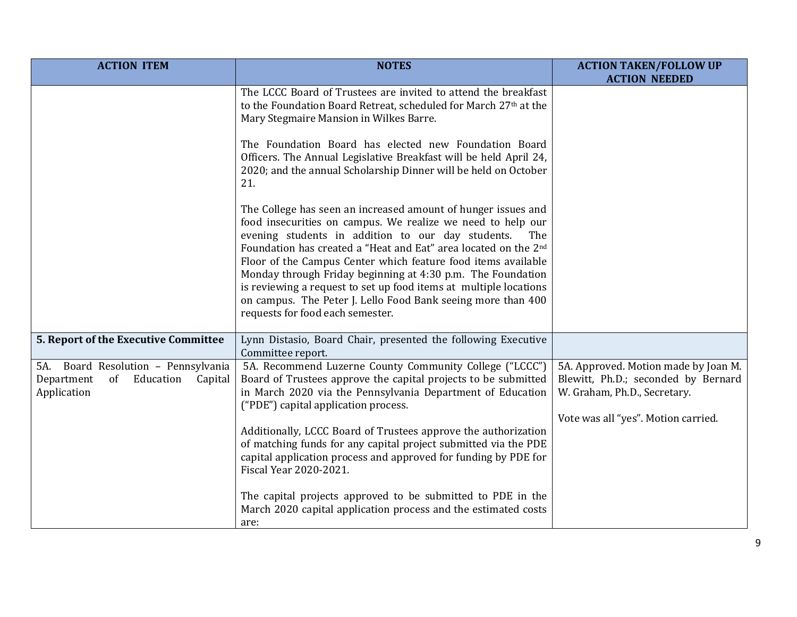| <b>ACTION ITEM</b>                                                                             | <b>NOTES</b>                                                                                                                                                                                                                                                                                                                             | <b>ACTION TAKEN/FOLLOW UP</b><br><b>ACTION NEEDED</b>                                                                                              |
|------------------------------------------------------------------------------------------------|------------------------------------------------------------------------------------------------------------------------------------------------------------------------------------------------------------------------------------------------------------------------------------------------------------------------------------------|----------------------------------------------------------------------------------------------------------------------------------------------------|
|                                                                                                | The LCCC Board of Trustees are invited to attend the breakfast<br>to the Foundation Board Retreat, scheduled for March 27th at the<br>Mary Stegmaire Mansion in Wilkes Barre.<br>The Foundation Board has elected new Foundation Board                                                                                                   |                                                                                                                                                    |
|                                                                                                | Officers. The Annual Legislative Breakfast will be held April 24,<br>2020; and the annual Scholarship Dinner will be held on October<br>21.                                                                                                                                                                                              |                                                                                                                                                    |
|                                                                                                | The College has seen an increased amount of hunger issues and<br>food insecurities on campus. We realize we need to help our<br>evening students in addition to our day students.<br>The<br>Foundation has created a "Heat and Eat" area located on the 2 <sup>nd</sup><br>Floor of the Campus Center which feature food items available |                                                                                                                                                    |
|                                                                                                | Monday through Friday beginning at 4:30 p.m. The Foundation<br>is reviewing a request to set up food items at multiple locations<br>on campus. The Peter J. Lello Food Bank seeing more than 400<br>requests for food each semester.                                                                                                     |                                                                                                                                                    |
| 5. Report of the Executive Committee                                                           | Lynn Distasio, Board Chair, presented the following Executive<br>Committee report.                                                                                                                                                                                                                                                       |                                                                                                                                                    |
| 5A. Board Resolution - Pennsylvania<br>Department<br>Education<br>of<br>Capital<br>Application | 5A. Recommend Luzerne County Community College ("LCCC")<br>Board of Trustees approve the capital projects to be submitted<br>in March 2020 via the Pennsylvania Department of Education<br>("PDE") capital application process.                                                                                                          | 5A. Approved. Motion made by Joan M.<br>Blewitt, Ph.D.; seconded by Bernard<br>W. Graham, Ph.D., Secretary.<br>Vote was all "yes". Motion carried. |
|                                                                                                | Additionally, LCCC Board of Trustees approve the authorization<br>of matching funds for any capital project submitted via the PDE<br>capital application process and approved for funding by PDE for<br>Fiscal Year 2020-2021.                                                                                                           |                                                                                                                                                    |
|                                                                                                | The capital projects approved to be submitted to PDE in the<br>March 2020 capital application process and the estimated costs<br>are:                                                                                                                                                                                                    |                                                                                                                                                    |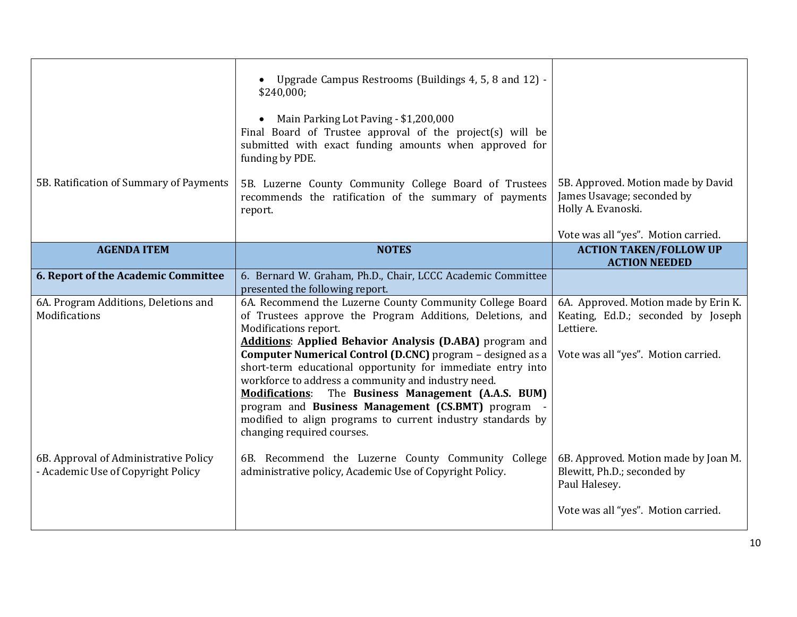| 5B. Ratification of Summary of Payments                                     | Upgrade Campus Restrooms (Buildings 4, 5, 8 and 12) -<br>\$240,000;<br>Main Parking Lot Paving - \$1,200,000<br>Final Board of Trustee approval of the project(s) will be<br>submitted with exact funding amounts when approved for<br>funding by PDE.<br>5B. Luzerne County Community College Board of Trustees<br>recommends the ratification of the summary of payments<br>report.                                                                                                                                                                                                                                | 5B. Approved. Motion made by David<br>James Usavage; seconded by<br>Holly A. Evanoski.                                         |
|-----------------------------------------------------------------------------|----------------------------------------------------------------------------------------------------------------------------------------------------------------------------------------------------------------------------------------------------------------------------------------------------------------------------------------------------------------------------------------------------------------------------------------------------------------------------------------------------------------------------------------------------------------------------------------------------------------------|--------------------------------------------------------------------------------------------------------------------------------|
|                                                                             |                                                                                                                                                                                                                                                                                                                                                                                                                                                                                                                                                                                                                      | Vote was all "yes". Motion carried.                                                                                            |
| <b>AGENDA ITEM</b>                                                          | <b>NOTES</b>                                                                                                                                                                                                                                                                                                                                                                                                                                                                                                                                                                                                         | <b>ACTION TAKEN/FOLLOW UP</b><br><b>ACTION NEEDED</b>                                                                          |
| 6. Report of the Academic Committee                                         | 6. Bernard W. Graham, Ph.D., Chair, LCCC Academic Committee<br>presented the following report.                                                                                                                                                                                                                                                                                                                                                                                                                                                                                                                       |                                                                                                                                |
| 6A. Program Additions, Deletions and<br>Modifications                       | 6A. Recommend the Luzerne County Community College Board<br>of Trustees approve the Program Additions, Deletions, and<br>Modifications report.<br><b>Additions: Applied Behavior Analysis (D.ABA)</b> program and<br>Computer Numerical Control (D.CNC) program - designed as a<br>short-term educational opportunity for immediate entry into<br>workforce to address a community and industry need.<br><b>Modifications:</b> The Business Management (A.A.S. BUM)<br>program and Business Management (CS.BMT) program<br>modified to align programs to current industry standards by<br>changing required courses. | 6A. Approved. Motion made by Erin K.<br>Keating, Ed.D.; seconded by Joseph<br>Lettiere.<br>Vote was all "yes". Motion carried. |
| 6B. Approval of Administrative Policy<br>- Academic Use of Copyright Policy | 6B. Recommend the Luzerne County Community College<br>administrative policy, Academic Use of Copyright Policy.                                                                                                                                                                                                                                                                                                                                                                                                                                                                                                       | 6B. Approved. Motion made by Joan M.<br>Blewitt, Ph.D.; seconded by<br>Paul Halesey.<br>Vote was all "yes". Motion carried.    |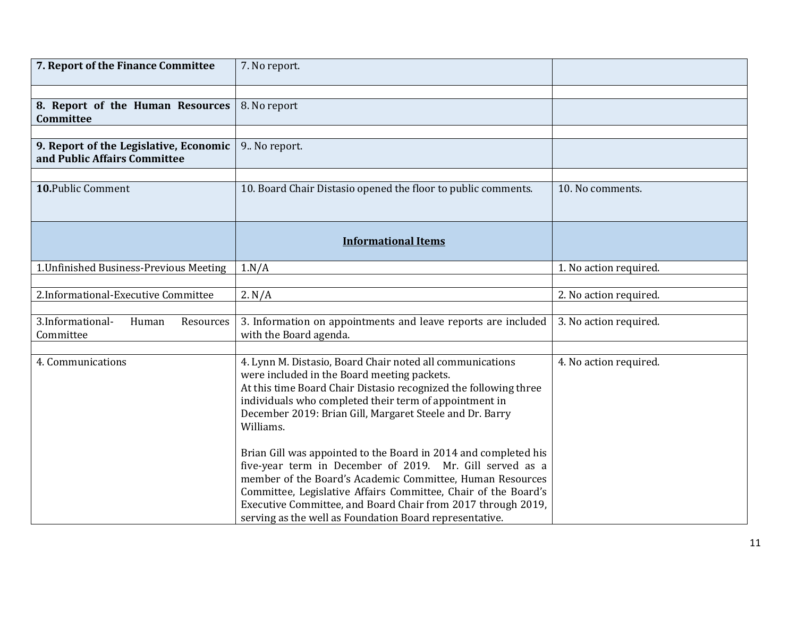| 7. Report of the Finance Committee                                     | 7. No report.                                                                                                                                                                                                                                                                                                                                                                         |                        |
|------------------------------------------------------------------------|---------------------------------------------------------------------------------------------------------------------------------------------------------------------------------------------------------------------------------------------------------------------------------------------------------------------------------------------------------------------------------------|------------------------|
|                                                                        |                                                                                                                                                                                                                                                                                                                                                                                       |                        |
| 8. Report of the Human Resources<br>Committee                          | 8. No report                                                                                                                                                                                                                                                                                                                                                                          |                        |
|                                                                        |                                                                                                                                                                                                                                                                                                                                                                                       |                        |
| 9. Report of the Legislative, Economic<br>and Public Affairs Committee | 9. No report.                                                                                                                                                                                                                                                                                                                                                                         |                        |
|                                                                        |                                                                                                                                                                                                                                                                                                                                                                                       |                        |
| 10. Public Comment                                                     | 10. Board Chair Distasio opened the floor to public comments.                                                                                                                                                                                                                                                                                                                         | 10. No comments.       |
|                                                                        | <b>Informational Items</b>                                                                                                                                                                                                                                                                                                                                                            |                        |
| 1. Unfinished Business-Previous Meeting                                | 1.N/A                                                                                                                                                                                                                                                                                                                                                                                 | 1. No action required. |
|                                                                        |                                                                                                                                                                                                                                                                                                                                                                                       |                        |
| 2.Informational-Executive Committee                                    | 2. N/A                                                                                                                                                                                                                                                                                                                                                                                | 2. No action required. |
| 3.Informational-<br>Human<br>Resources<br>Committee                    | 3. Information on appointments and leave reports are included<br>with the Board agenda.                                                                                                                                                                                                                                                                                               | 3. No action required. |
|                                                                        |                                                                                                                                                                                                                                                                                                                                                                                       |                        |
| 4. Communications                                                      | 4. Lynn M. Distasio, Board Chair noted all communications<br>were included in the Board meeting packets.<br>At this time Board Chair Distasio recognized the following three<br>individuals who completed their term of appointment in<br>December 2019: Brian Gill, Margaret Steele and Dr. Barry<br>Williams.                                                                       | 4. No action required. |
|                                                                        | Brian Gill was appointed to the Board in 2014 and completed his<br>five-year term in December of 2019. Mr. Gill served as a<br>member of the Board's Academic Committee, Human Resources<br>Committee, Legislative Affairs Committee, Chair of the Board's<br>Executive Committee, and Board Chair from 2017 through 2019,<br>serving as the well as Foundation Board representative. |                        |